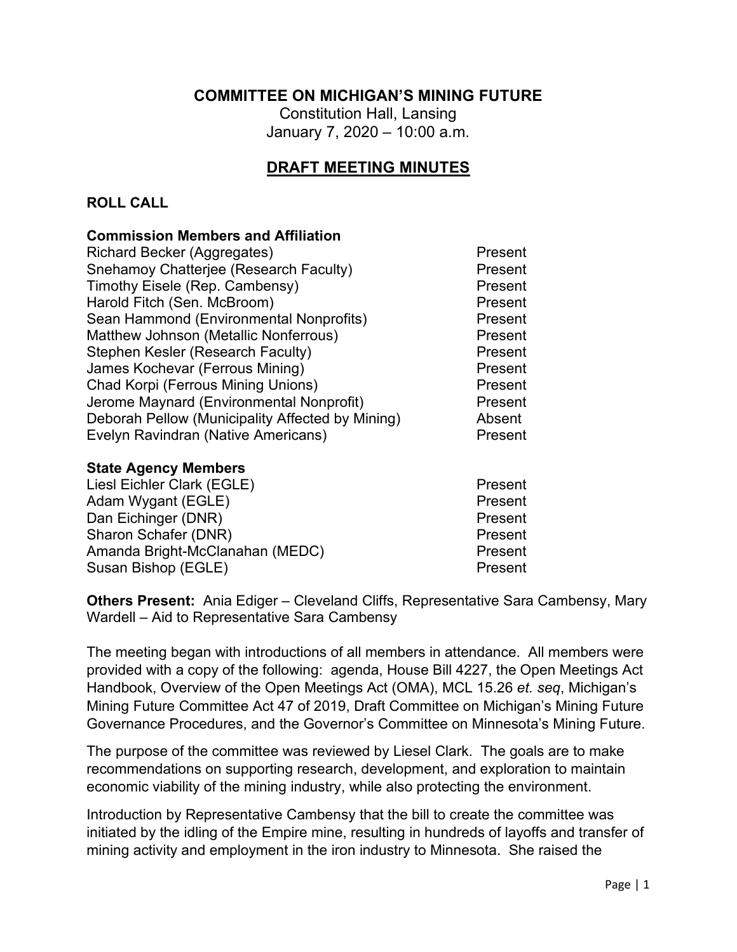## **COMMITTEE ON MICHIGAN'S MINING FUTURE**

Constitution Hall, Lansing January 7, 2020 – 10:00 a.m.

# **DRAFT MEETING MINUTES**

#### **ROLL CALL**

#### **Commission Members and Affiliation**

| Snehamoy Chatterjee (Research Faculty)<br>Present<br>Timothy Eisele (Rep. Cambensy)<br>Present<br>Harold Fitch (Sen. McBroom)<br>Present<br>Sean Hammond (Environmental Nonprofits)<br>Present<br>Matthew Johnson (Metallic Nonferrous)<br>Present<br>Stephen Kesler (Research Faculty)<br>Present<br>James Kochevar (Ferrous Mining)<br>Present<br><b>Chad Korpi (Ferrous Mining Unions)</b><br>Present<br>Jerome Maynard (Environmental Nonprofit)<br>Present | Present |
|-----------------------------------------------------------------------------------------------------------------------------------------------------------------------------------------------------------------------------------------------------------------------------------------------------------------------------------------------------------------------------------------------------------------------------------------------------------------|---------|
|                                                                                                                                                                                                                                                                                                                                                                                                                                                                 |         |
|                                                                                                                                                                                                                                                                                                                                                                                                                                                                 |         |
|                                                                                                                                                                                                                                                                                                                                                                                                                                                                 |         |
|                                                                                                                                                                                                                                                                                                                                                                                                                                                                 |         |
|                                                                                                                                                                                                                                                                                                                                                                                                                                                                 |         |
|                                                                                                                                                                                                                                                                                                                                                                                                                                                                 |         |
|                                                                                                                                                                                                                                                                                                                                                                                                                                                                 |         |
|                                                                                                                                                                                                                                                                                                                                                                                                                                                                 |         |
|                                                                                                                                                                                                                                                                                                                                                                                                                                                                 |         |
| Deborah Pellow (Municipality Affected by Mining)<br>Absent                                                                                                                                                                                                                                                                                                                                                                                                      |         |
| Evelyn Ravindran (Native Americans)<br>Present                                                                                                                                                                                                                                                                                                                                                                                                                  |         |

#### **State Agency Members**

| Liesl Eichler Clark (EGLE)      | Present |
|---------------------------------|---------|
| Adam Wygant (EGLE)              | Present |
| Dan Eichinger (DNR)             | Present |
| Sharon Schafer (DNR)            | Present |
| Amanda Bright-McClanahan (MEDC) | Present |
| Susan Bishop (EGLE)             | Present |

**Others Present:** Ania Ediger – Cleveland Cliffs, Representative Sara Cambensy, Mary Wardell – Aid to Representative Sara Cambensy

The meeting began with introductions of all members in attendance. All members were provided with a copy of the following: agenda, House Bill 4227, the Open Meetings Act Handbook, Overview of the Open Meetings Act (OMA), MCL 15.26 *et. seq*, Michigan's Mining Future Committee Act 47 of 2019, Draft Committee on Michigan's Mining Future Governance Procedures, and the Governor's Committee on Minnesota's Mining Future.

The purpose of the committee was reviewed by Liesel Clark. The goals are to make recommendations on supporting research, development, and exploration to maintain economic viability of the mining industry, while also protecting the environment.

Introduction by Representative Cambensy that the bill to create the committee was initiated by the idling of the Empire mine, resulting in hundreds of layoffs and transfer of mining activity and employment in the iron industry to Minnesota. She raised the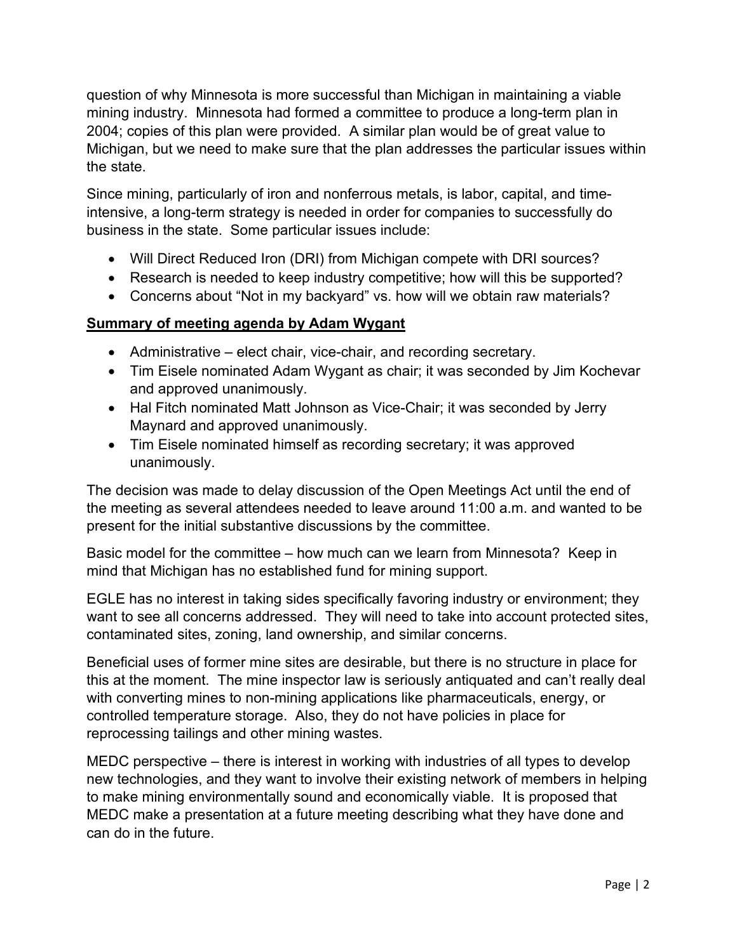question of why Minnesota is more successful than Michigan in maintaining a viable mining industry. Minnesota had formed a committee to produce a long-term plan in 2004; copies of this plan were provided. A similar plan would be of great value to Michigan, but we need to make sure that the plan addresses the particular issues within the state.

Since mining, particularly of iron and nonferrous metals, is labor, capital, and timeintensive, a long-term strategy is needed in order for companies to successfully do business in the state. Some particular issues include:

- Will Direct Reduced Iron (DRI) from Michigan compete with DRI sources?
- Research is needed to keep industry competitive; how will this be supported?
- Concerns about "Not in my backyard" vs. how will we obtain raw materials?

## **Summary of meeting agenda by Adam Wygant**

- Administrative elect chair, vice-chair, and recording secretary.
- Tim Eisele nominated Adam Wygant as chair; it was seconded by Jim Kochevar and approved unanimously.
- Hal Fitch nominated Matt Johnson as Vice-Chair; it was seconded by Jerry Maynard and approved unanimously.
- Tim Eisele nominated himself as recording secretary; it was approved unanimously.

The decision was made to delay discussion of the Open Meetings Act until the end of the meeting as several attendees needed to leave around 11:00 a.m. and wanted to be present for the initial substantive discussions by the committee.

Basic model for the committee – how much can we learn from Minnesota? Keep in mind that Michigan has no established fund for mining support.

EGLE has no interest in taking sides specifically favoring industry or environment; they want to see all concerns addressed. They will need to take into account protected sites, contaminated sites, zoning, land ownership, and similar concerns.

Beneficial uses of former mine sites are desirable, but there is no structure in place for this at the moment. The mine inspector law is seriously antiquated and can't really deal with converting mines to non-mining applications like pharmaceuticals, energy, or controlled temperature storage. Also, they do not have policies in place for reprocessing tailings and other mining wastes.

MEDC perspective – there is interest in working with industries of all types to develop new technologies, and they want to involve their existing network of members in helping to make mining environmentally sound and economically viable. It is proposed that MEDC make a presentation at a future meeting describing what they have done and can do in the future.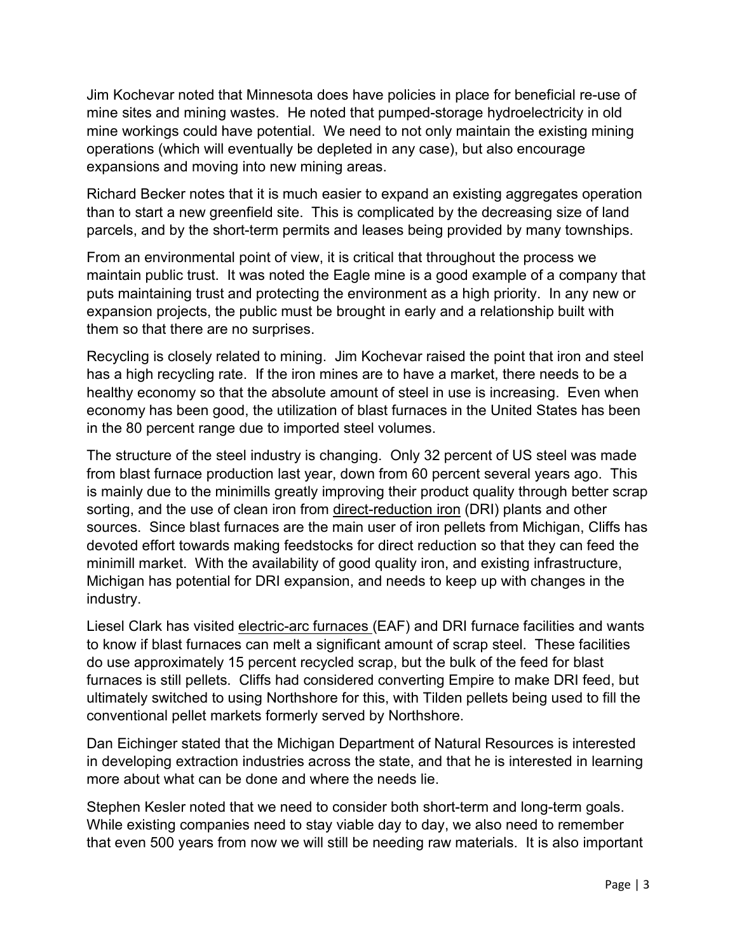Jim Kochevar noted that Minnesota does have policies in place for beneficial re-use of mine sites and mining wastes. He noted that pumped-storage hydroelectricity in old mine workings could have potential. We need to not only maintain the existing mining operations (which will eventually be depleted in any case), but also encourage expansions and moving into new mining areas.

Richard Becker notes that it is much easier to expand an existing aggregates operation than to start a new greenfield site. This is complicated by the decreasing size of land parcels, and by the short-term permits and leases being provided by many townships.

From an environmental point of view, it is critical that throughout the process we maintain public trust. It was noted the Eagle mine is a good example of a company that puts maintaining trust and protecting the environment as a high priority. In any new or expansion projects, the public must be brought in early and a relationship built with them so that there are no surprises.

Recycling is closely related to mining. Jim Kochevar raised the point that iron and steel has a high recycling rate. If the iron mines are to have a market, there needs to be a healthy economy so that the absolute amount of steel in use is increasing. Even when economy has been good, the utilization of blast furnaces in the United States has been in the 80 percent range due to imported steel volumes.

The structure of the steel industry is changing. Only 32 percent of US steel was made from blast furnace production last year, down from 60 percent several years ago. This is mainly due to the minimills greatly improving their product quality through better scrap sorting, and the use of clean iron from direct-reduction iron (DRI) plants and other sources. Since blast furnaces are the main user of iron pellets from Michigan, Cliffs has devoted effort towards making feedstocks for direct reduction so that they can feed the minimill market. With the availability of good quality iron, and existing infrastructure, Michigan has potential for DRI expansion, and needs to keep up with changes in the industry.

Liesel Clark has visited electric-arc furnaces (EAF) and DRI furnace facilities and wants to know if blast furnaces can melt a significant amount of scrap steel. These facilities do use approximately 15 percent recycled scrap, but the bulk of the feed for blast furnaces is still pellets. Cliffs had considered converting Empire to make DRI feed, but ultimately switched to using Northshore for this, with Tilden pellets being used to fill the conventional pellet markets formerly served by Northshore.

Dan Eichinger stated that the Michigan Department of Natural Resources is interested in developing extraction industries across the state, and that he is interested in learning more about what can be done and where the needs lie.

Stephen Kesler noted that we need to consider both short-term and long-term goals. While existing companies need to stay viable day to day, we also need to remember that even 500 years from now we will still be needing raw materials. It is also important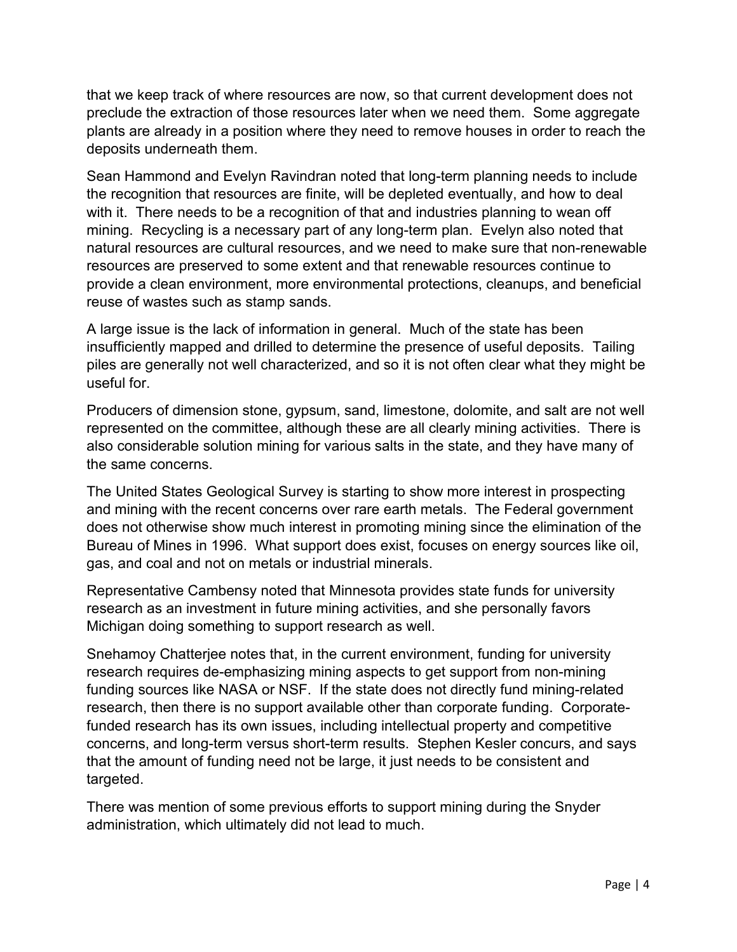that we keep track of where resources are now, so that current development does not preclude the extraction of those resources later when we need them. Some aggregate plants are already in a position where they need to remove houses in order to reach the deposits underneath them.

Sean Hammond and Evelyn Ravindran noted that long-term planning needs to include the recognition that resources are finite, will be depleted eventually, and how to deal with it. There needs to be a recognition of that and industries planning to wean off mining. Recycling is a necessary part of any long-term plan. Evelyn also noted that natural resources are cultural resources, and we need to make sure that non-renewable resources are preserved to some extent and that renewable resources continue to provide a clean environment, more environmental protections, cleanups, and beneficial reuse of wastes such as stamp sands.

A large issue is the lack of information in general. Much of the state has been insufficiently mapped and drilled to determine the presence of useful deposits. Tailing piles are generally not well characterized, and so it is not often clear what they might be useful for.

Producers of dimension stone, gypsum, sand, limestone, dolomite, and salt are not well represented on the committee, although these are all clearly mining activities. There is also considerable solution mining for various salts in the state, and they have many of the same concerns.

The United States Geological Survey is starting to show more interest in prospecting and mining with the recent concerns over rare earth metals. The Federal government does not otherwise show much interest in promoting mining since the elimination of the Bureau of Mines in 1996. What support does exist, focuses on energy sources like oil, gas, and coal and not on metals or industrial minerals.

Representative Cambensy noted that Minnesota provides state funds for university research as an investment in future mining activities, and she personally favors Michigan doing something to support research as well.

Snehamoy Chatterjee notes that, in the current environment, funding for university research requires de-emphasizing mining aspects to get support from non-mining funding sources like NASA or NSF. If the state does not directly fund mining-related research, then there is no support available other than corporate funding. Corporatefunded research has its own issues, including intellectual property and competitive concerns, and long-term versus short-term results. Stephen Kesler concurs, and says that the amount of funding need not be large, it just needs to be consistent and targeted.

There was mention of some previous efforts to support mining during the Snyder administration, which ultimately did not lead to much.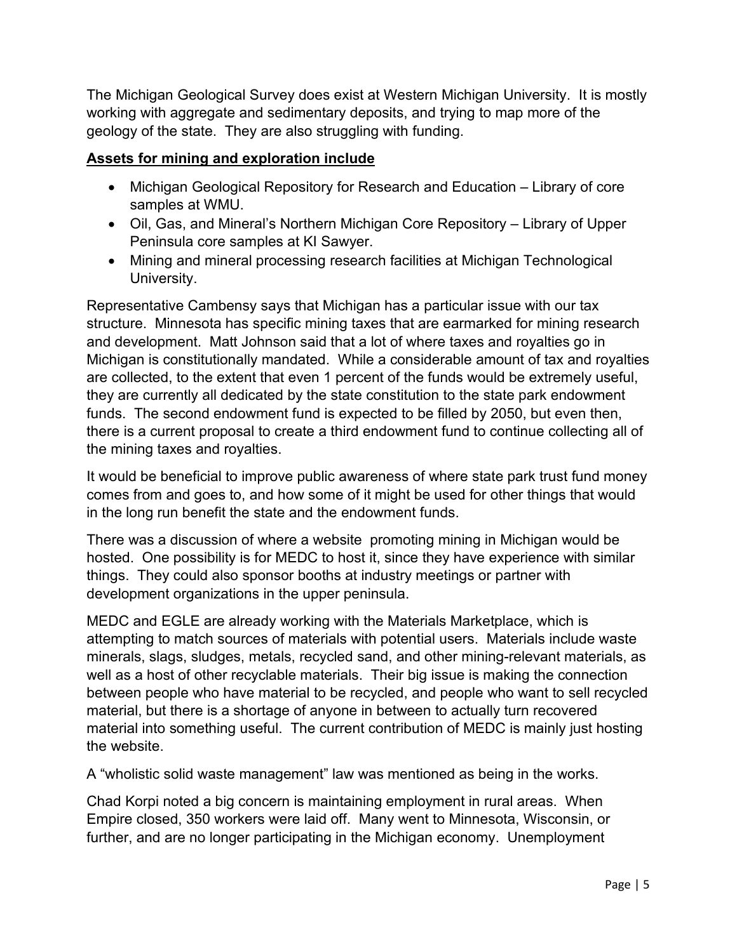The Michigan Geological Survey does exist at Western Michigan University. It is mostly working with aggregate and sedimentary deposits, and trying to map more of the geology of the state. They are also struggling with funding.

#### **Assets for mining and exploration include**

- Michigan Geological Repository for Research and Education Library of core samples at WMU.
- Oil, Gas, and Mineral's Northern Michigan Core Repository Library of Upper Peninsula core samples at KI Sawyer.
- Mining and mineral processing research facilities at Michigan Technological University.

Representative Cambensy says that Michigan has a particular issue with our tax structure. Minnesota has specific mining taxes that are earmarked for mining research and development. Matt Johnson said that a lot of where taxes and royalties go in Michigan is constitutionally mandated. While a considerable amount of tax and royalties are collected, to the extent that even 1 percent of the funds would be extremely useful, they are currently all dedicated by the state constitution to the state park endowment funds. The second endowment fund is expected to be filled by 2050, but even then, there is a current proposal to create a third endowment fund to continue collecting all of the mining taxes and royalties.

It would be beneficial to improve public awareness of where state park trust fund money comes from and goes to, and how some of it might be used for other things that would in the long run benefit the state and the endowment funds.

There was a discussion of where a website promoting mining in Michigan would be hosted. One possibility is for MEDC to host it, since they have experience with similar things. They could also sponsor booths at industry meetings or partner with development organizations in the upper peninsula.

MEDC and EGLE are already working with the Materials Marketplace, which is attempting to match sources of materials with potential users. Materials include waste minerals, slags, sludges, metals, recycled sand, and other mining-relevant materials, as well as a host of other recyclable materials. Their big issue is making the connection between people who have material to be recycled, and people who want to sell recycled material, but there is a shortage of anyone in between to actually turn recovered material into something useful. The current contribution of MEDC is mainly just hosting the website.

A "wholistic solid waste management" law was mentioned as being in the works.

Chad Korpi noted a big concern is maintaining employment in rural areas. When Empire closed, 350 workers were laid off. Many went to Minnesota, Wisconsin, or further, and are no longer participating in the Michigan economy. Unemployment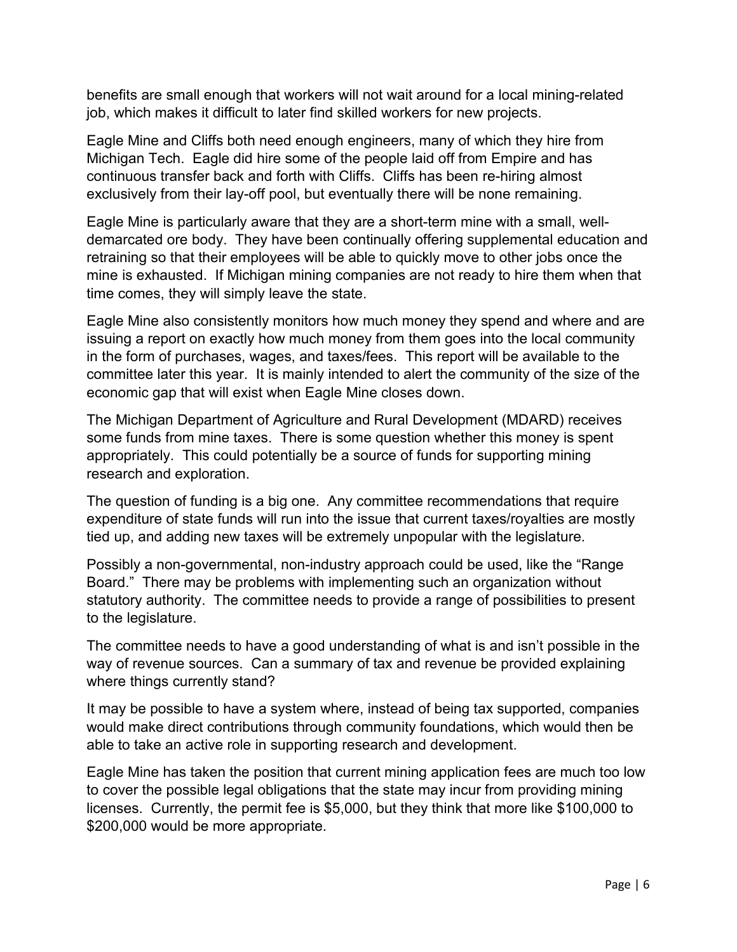benefits are small enough that workers will not wait around for a local mining-related job, which makes it difficult to later find skilled workers for new projects.

Eagle Mine and Cliffs both need enough engineers, many of which they hire from Michigan Tech. Eagle did hire some of the people laid off from Empire and has continuous transfer back and forth with Cliffs. Cliffs has been re-hiring almost exclusively from their lay-off pool, but eventually there will be none remaining.

Eagle Mine is particularly aware that they are a short-term mine with a small, welldemarcated ore body. They have been continually offering supplemental education and retraining so that their employees will be able to quickly move to other jobs once the mine is exhausted. If Michigan mining companies are not ready to hire them when that time comes, they will simply leave the state.

Eagle Mine also consistently monitors how much money they spend and where and are issuing a report on exactly how much money from them goes into the local community in the form of purchases, wages, and taxes/fees. This report will be available to the committee later this year. It is mainly intended to alert the community of the size of the economic gap that will exist when Eagle Mine closes down.

The Michigan Department of Agriculture and Rural Development (MDARD) receives some funds from mine taxes. There is some question whether this money is spent appropriately. This could potentially be a source of funds for supporting mining research and exploration.

The question of funding is a big one. Any committee recommendations that require expenditure of state funds will run into the issue that current taxes/royalties are mostly tied up, and adding new taxes will be extremely unpopular with the legislature.

Possibly a non-governmental, non-industry approach could be used, like the "Range Board." There may be problems with implementing such an organization without statutory authority. The committee needs to provide a range of possibilities to present to the legislature.

The committee needs to have a good understanding of what is and isn't possible in the way of revenue sources. Can a summary of tax and revenue be provided explaining where things currently stand?

It may be possible to have a system where, instead of being tax supported, companies would make direct contributions through community foundations, which would then be able to take an active role in supporting research and development.

Eagle Mine has taken the position that current mining application fees are much too low to cover the possible legal obligations that the state may incur from providing mining licenses. Currently, the permit fee is \$5,000, but they think that more like \$100,000 to \$200,000 would be more appropriate.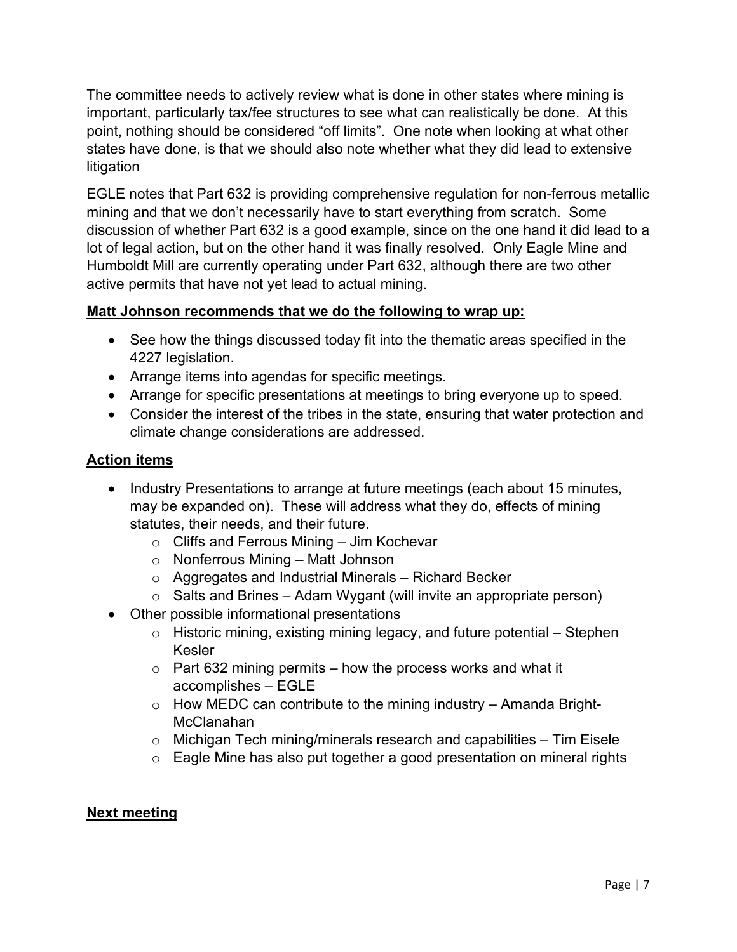The committee needs to actively review what is done in other states where mining is important, particularly tax/fee structures to see what can realistically be done. At this point, nothing should be considered "off limits". One note when looking at what other states have done, is that we should also note whether what they did lead to extensive litigation

EGLE notes that Part 632 is providing comprehensive regulation for non-ferrous metallic mining and that we don't necessarily have to start everything from scratch. Some discussion of whether Part 632 is a good example, since on the one hand it did lead to a lot of legal action, but on the other hand it was finally resolved. Only Eagle Mine and Humboldt Mill are currently operating under Part 632, although there are two other active permits that have not yet lead to actual mining.

## **Matt Johnson recommends that we do the following to wrap up:**

- See how the things discussed today fit into the thematic areas specified in the 4227 legislation.
- Arrange items into agendas for specific meetings.
- Arrange for specific presentations at meetings to bring everyone up to speed.
- Consider the interest of the tribes in the state, ensuring that water protection and climate change considerations are addressed.

## **Action items**

- Industry Presentations to arrange at future meetings (each about 15 minutes, may be expanded on). These will address what they do, effects of mining statutes, their needs, and their future.
	- $\circ$  Cliffs and Ferrous Mining Jim Kochevar
	- o Nonferrous Mining Matt Johnson
	- o Aggregates and Industrial Minerals Richard Becker
	- $\circ$  Salts and Brines Adam Wygant (will invite an appropriate person)
- Other possible informational presentations
	- $\circ$  Historic mining, existing mining legacy, and future potential Stephen Kesler
	- $\circ$  Part 632 mining permits how the process works and what it accomplishes – EGLE
	- $\circ$  How MEDC can contribute to the mining industry Amanda Bright-McClanahan
	- $\circ$  Michigan Tech mining/minerals research and capabilities  $-$  Tim Eisele
	- $\circ$  Eagle Mine has also put together a good presentation on mineral rights

## **Next meeting**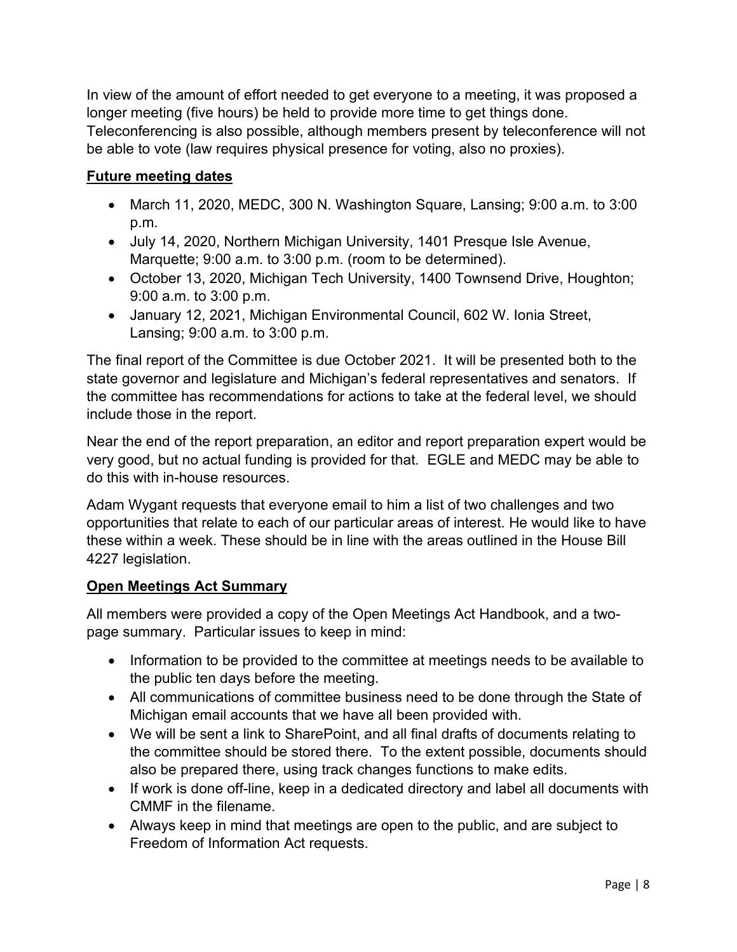In view of the amount of effort needed to get everyone to a meeting, it was proposed a longer meeting (five hours) be held to provide more time to get things done.

Teleconferencing is also possible, although members present by teleconference will not be able to vote (law requires physical presence for voting, also no proxies).

# **Future meeting dates**

- March 11, 2020, MEDC, 300 N. Washington Square, Lansing; 9:00 a.m. to 3:00 p.m.
- July 14, 2020, Northern Michigan University, 1401 Presque Isle Avenue, Marquette; 9:00 a.m. to 3:00 p.m. (room to be determined).
- October 13, 2020, Michigan Tech University, 1400 Townsend Drive, Houghton; 9:00 a.m. to 3:00 p.m.
- January 12, 2021, Michigan Environmental Council, 602 W. Ionia Street, Lansing; 9:00 a.m. to 3:00 p.m.

The final report of the Committee is due October 2021. It will be presented both to the state governor and legislature and Michigan's federal representatives and senators. If the committee has recommendations for actions to take at the federal level, we should include those in the report.

Near the end of the report preparation, an editor and report preparation expert would be very good, but no actual funding is provided for that. EGLE and MEDC may be able to do this with in-house resources.

Adam Wygant requests that everyone email to him a list of two challenges and two opportunities that relate to each of our particular areas of interest. He would like to have these within a week. These should be in line with the areas outlined in the House Bill 4227 legislation.

## **Open Meetings Act Summary**

All members were provided a copy of the Open Meetings Act Handbook, and a twopage summary. Particular issues to keep in mind:

- Information to be provided to the committee at meetings needs to be available to the public ten days before the meeting.
- All communications of committee business need to be done through the State of Michigan email accounts that we have all been provided with.
- We will be sent a link to SharePoint, and all final drafts of documents relating to the committee should be stored there. To the extent possible, documents should also be prepared there, using track changes functions to make edits.
- If work is done off-line, keep in a dedicated directory and label all documents with CMMF in the filename.
- Always keep in mind that meetings are open to the public, and are subject to Freedom of Information Act requests.